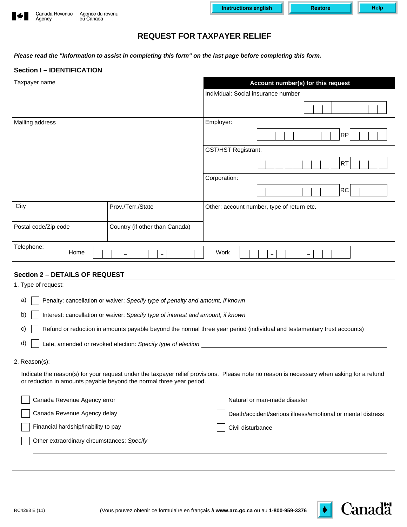| $\ddot{\ast}$ | Canada Revenue<br>Agency | Agence du revent<br>du Canada |
|---------------|--------------------------|-------------------------------|
|               |                          |                               |



# **REQUEST FOR TAXPAYER RELIEF**

*Please read the "Information to assist in completing this form" on the last page before completing this form.* 

# **Section I – IDENTIFICATION**

| Taxpayer name        |                                | Account number(s) for this request         |  |
|----------------------|--------------------------------|--------------------------------------------|--|
|                      |                                | Individual: Social insurance number        |  |
|                      |                                |                                            |  |
| Mailing address      |                                | Employer:                                  |  |
|                      |                                | <b>RP</b>                                  |  |
|                      |                                | <b>GST/HST Registrant:</b>                 |  |
|                      |                                | <b>RT</b>                                  |  |
|                      |                                | Corporation:                               |  |
|                      |                                | <b>RC</b>                                  |  |
| City                 | Prov./Terr./State              | Other: account number, type of return etc. |  |
| Postal code/Zip code | Country (if other than Canada) |                                            |  |
| Telephone:<br>Home   | -<br>$\overline{\phantom{0}}$  | Work<br>$\qquad \qquad$<br>-               |  |

# **Section 2 – DETAILS OF REQUEST**

| 1. Type of request:                                                                                                                                                                                               |                                                             |  |  |  |
|-------------------------------------------------------------------------------------------------------------------------------------------------------------------------------------------------------------------|-------------------------------------------------------------|--|--|--|
| Penalty: cancellation or waiver: Specify type of penalty and amount, if known<br>a)                                                                                                                               |                                                             |  |  |  |
| Interest: cancellation or waiver: Specify type of interest and amount, if known ______________________________<br>b)                                                                                              |                                                             |  |  |  |
| Refund or reduction in amounts payable beyond the normal three year period (individual and testamentary trust accounts)<br>C)                                                                                     |                                                             |  |  |  |
| d)                                                                                                                                                                                                                |                                                             |  |  |  |
| 2. Reason(s):                                                                                                                                                                                                     |                                                             |  |  |  |
| Indicate the reason(s) for your request under the taxpayer relief provisions. Please note no reason is necessary when asking for a refund<br>or reduction in amounts payable beyond the normal three year period. |                                                             |  |  |  |
| Canada Revenue Agency error                                                                                                                                                                                       | Natural or man-made disaster                                |  |  |  |
| Canada Revenue Agency delay                                                                                                                                                                                       | Death/accident/serious illness/emotional or mental distress |  |  |  |
| Financial hardship/inability to pay                                                                                                                                                                               | Civil disturbance                                           |  |  |  |
| Other extraordinary circumstances: Specify                                                                                                                                                                        |                                                             |  |  |  |
|                                                                                                                                                                                                                   |                                                             |  |  |  |
|                                                                                                                                                                                                                   |                                                             |  |  |  |

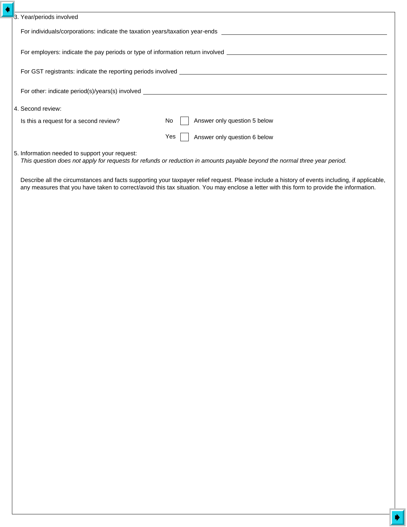| 3. Year/periods involved                       |                                                                                                                                                                                                                                                                                             |  |
|------------------------------------------------|---------------------------------------------------------------------------------------------------------------------------------------------------------------------------------------------------------------------------------------------------------------------------------------------|--|
|                                                |                                                                                                                                                                                                                                                                                             |  |
|                                                |                                                                                                                                                                                                                                                                                             |  |
|                                                |                                                                                                                                                                                                                                                                                             |  |
|                                                |                                                                                                                                                                                                                                                                                             |  |
| 4. Second review:                              |                                                                                                                                                                                                                                                                                             |  |
| Is this a request for a second review?         | Answer only question 5 below<br>No                                                                                                                                                                                                                                                          |  |
|                                                | Answer only question 6 below<br>Yes                                                                                                                                                                                                                                                         |  |
| 5. Information needed to support your request: | This question does not apply for requests for refunds or reduction in amounts payable beyond the normal three year period.                                                                                                                                                                  |  |
|                                                | Describe all the circumstances and facts supporting your taxpayer relief request. Please include a history of events including, if applicable,<br>any measures that you have taken to correct/avoid this tax situation. You may enclose a letter with this form to provide the information. |  |
|                                                |                                                                                                                                                                                                                                                                                             |  |
|                                                |                                                                                                                                                                                                                                                                                             |  |
|                                                |                                                                                                                                                                                                                                                                                             |  |
|                                                |                                                                                                                                                                                                                                                                                             |  |
|                                                |                                                                                                                                                                                                                                                                                             |  |
|                                                |                                                                                                                                                                                                                                                                                             |  |
|                                                |                                                                                                                                                                                                                                                                                             |  |
|                                                |                                                                                                                                                                                                                                                                                             |  |
|                                                |                                                                                                                                                                                                                                                                                             |  |
|                                                |                                                                                                                                                                                                                                                                                             |  |
|                                                |                                                                                                                                                                                                                                                                                             |  |
|                                                |                                                                                                                                                                                                                                                                                             |  |
|                                                |                                                                                                                                                                                                                                                                                             |  |
|                                                |                                                                                                                                                                                                                                                                                             |  |
|                                                |                                                                                                                                                                                                                                                                                             |  |
|                                                |                                                                                                                                                                                                                                                                                             |  |
|                                                |                                                                                                                                                                                                                                                                                             |  |
|                                                |                                                                                                                                                                                                                                                                                             |  |
|                                                |                                                                                                                                                                                                                                                                                             |  |
|                                                |                                                                                                                                                                                                                                                                                             |  |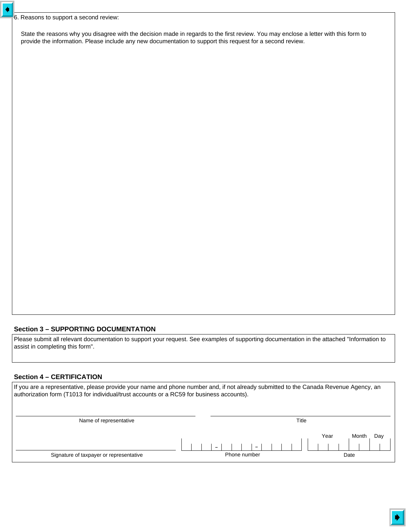$\blacklozenge$ 

State the reasons why you disagree with the decision made in regards to the first review. You may enclose a letter with this form to provide the information. Please include any new documentation to support this request for a second review.

# **Section 3 – SUPPORTING DOCUMENTATION**

Please submit all relevant documentation to support your request. See examples of supporting documentation in the attached "Information to assist in completing this form".

## **Section 4 – CERTIFICATION**

| If you are a representative, please provide your name and phone number and, if not already submitted to the Canada Revenue Agency, an<br>authorization form (T1013 for individual/trust accounts or a RC59 for business accounts). |  |              |                      |
|------------------------------------------------------------------------------------------------------------------------------------------------------------------------------------------------------------------------------------|--|--------------|----------------------|
|                                                                                                                                                                                                                                    |  |              |                      |
| Name of representative                                                                                                                                                                                                             |  |              | Title                |
|                                                                                                                                                                                                                                    |  |              | Year<br>Month<br>Day |
|                                                                                                                                                                                                                                    |  |              |                      |
| Signature of taxpayer or representative                                                                                                                                                                                            |  | Phone number | Date                 |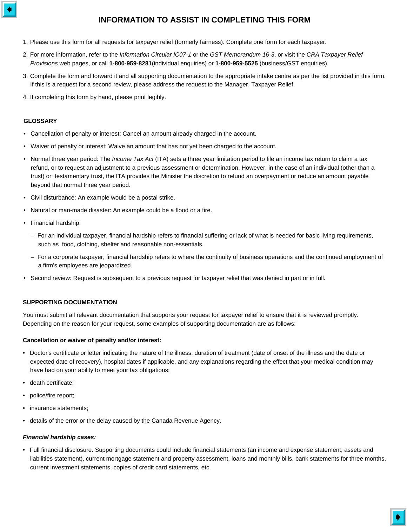

# **INFORMATION TO ASSIST IN COMPLETING THIS FORM**

- 1. Please use this form for all requests for taxpayer relief (formerly fairness). Complete one form for each taxpayer.
- 2. For more information, refer to the *Information Circular IC07-1* or the *GST Memorandum 16-3*, or visit the *CRA Taxpayer Relief Provisions* web pages, or call **1-800-959-8281**(individual enquiries) or **1-800-959-5525** (business/GST enquiries).
- 3. Complete the form and forward it and all supporting documentation to the appropriate intake centre as per the list provided in this form. If this is a request for a second review, please address the request to the Manager, Taxpayer Relief.
- 4. If completing this form by hand, please print legibly.

#### **GLOSSARY**

- Cancellation of penalty or interest: Cancel an amount already charged in the account.
- Waiver of penalty or interest: Waive an amount that has not yet been charged to the account.
- Normal three year period: The *Income Tax Act* (ITA) sets a three year limitation period to file an income tax return to claim a tax refund, or to request an adjustment to a previous assessment or determination. However, in the case of an individual (other than a trust) or testamentary trust, the ITA provides the Minister the discretion to refund an overpayment or reduce an amount payable beyond that normal three year period.
- Civil disturbance: An example would be a postal strike.
- Natural or man-made disaster: An example could be a flood or a fire.
- Financial hardship:
	- For an individual taxpayer, financial hardship refers to financial suffering or lack of what is needed for basic living requirements, such as food, clothing, shelter and reasonable non-essentials.
	- For a corporate taxpayer, financial hardship refers to where the continuity of business operations and the continued employment of a firm's employees are jeopardized.
- Second review: Request is subsequent to a previous request for taxpayer relief that was denied in part or in full.

#### **SUPPORTING DOCUMENTATION**

You must submit all relevant documentation that supports your request for taxpayer relief to ensure that it is reviewed promptly. Depending on the reason for your request, some examples of supporting documentation are as follows:

#### **Cancellation or waiver of penalty and/or interest:**

- Doctor's certificate or letter indicating the nature of the illness, duration of treatment (date of onset of the illness and the date or expected date of recovery), hospital dates if applicable, and any explanations regarding the effect that your medical condition may have had on your ability to meet your tax obligations;
- death certificate;
- police/fire report;
- insurance statements:
- details of the error or the delay caused by the Canada Revenue Agency.

#### *Financial hardship cases:*

• Full financial disclosure. Supporting documents could include financial statements (an income and expense statement, assets and liabilities statement), current mortgage statement and property assessment, loans and monthly bills, bank statements for three months, current investment statements, copies of credit card statements, etc.